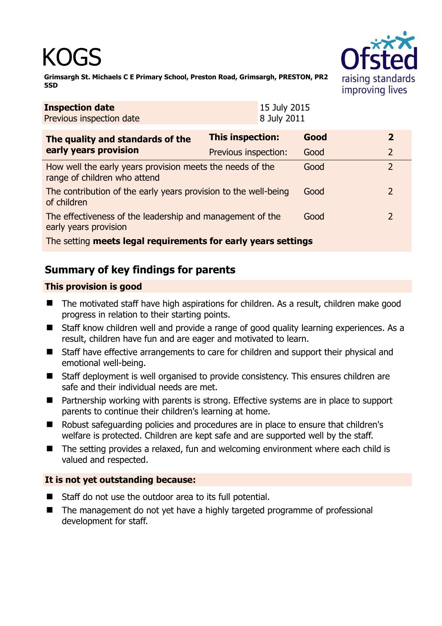# KOGS



**Grimsargh St. Michaels C E Primary School, Preston Road, Grimsargh, PRESTON, PR2 5SD** 

| <b>Inspection date</b><br>Previous inspection date                                        |                      | 15 July 2015<br>8 July 2011 |      |                |  |
|-------------------------------------------------------------------------------------------|----------------------|-----------------------------|------|----------------|--|
| The quality and standards of the<br>early years provision                                 | This inspection:     |                             | Good | 2              |  |
|                                                                                           | Previous inspection: |                             | Good | $\overline{2}$ |  |
| How well the early years provision meets the needs of the<br>range of children who attend |                      |                             | Good | $\overline{2}$ |  |
| The contribution of the early years provision to the well-being<br>of children            |                      |                             | Good | 2              |  |
| The effectiveness of the leadership and management of the<br>early years provision        |                      |                             | Good | $\overline{2}$ |  |
| The setting meets legal requirements for early years settings                             |                      |                             |      |                |  |

## **Summary of key findings for parents**

### **This provision is good**

- The motivated staff have high aspirations for children. As a result, children make good progress in relation to their starting points.
- Staff know children well and provide a range of good quality learning experiences. As a result, children have fun and are eager and motivated to learn.
- Staff have effective arrangements to care for children and support their physical and emotional well-being.
- Staff deployment is well organised to provide consistency. This ensures children are safe and their individual needs are met.
- Partnership working with parents is strong. Effective systems are in place to support parents to continue their children's learning at home.
- Robust safeguarding policies and procedures are in place to ensure that children's welfare is protected. Children are kept safe and are supported well by the staff.
- The setting provides a relaxed, fun and welcoming environment where each child is valued and respected.

#### **It is not yet outstanding because:**

- Staff do not use the outdoor area to its full potential.
- The management do not yet have a highly targeted programme of professional development for staff.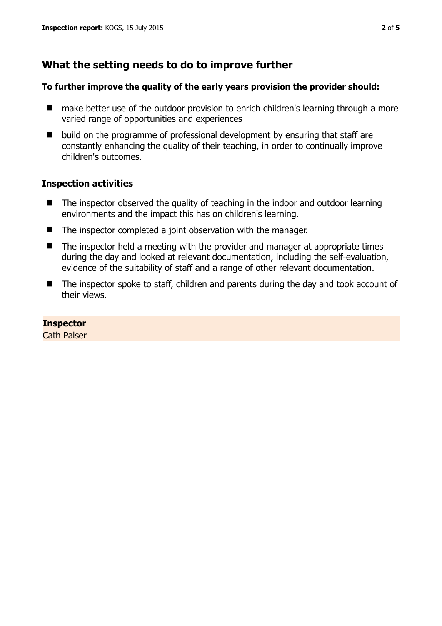## **What the setting needs to do to improve further**

#### **To further improve the quality of the early years provision the provider should:**

- make better use of the outdoor provision to enrich children's learning through a more varied range of opportunities and experiences
- build on the programme of professional development by ensuring that staff are constantly enhancing the quality of their teaching, in order to continually improve children's outcomes.

#### **Inspection activities**

- The inspector observed the quality of teaching in the indoor and outdoor learning environments and the impact this has on children's learning.
- The inspector completed a joint observation with the manager.
- $\blacksquare$  The inspector held a meeting with the provider and manager at appropriate times during the day and looked at relevant documentation, including the self-evaluation, evidence of the suitability of staff and a range of other relevant documentation.
- The inspector spoke to staff, children and parents during the day and took account of their views.

#### **Inspector**

Cath Palser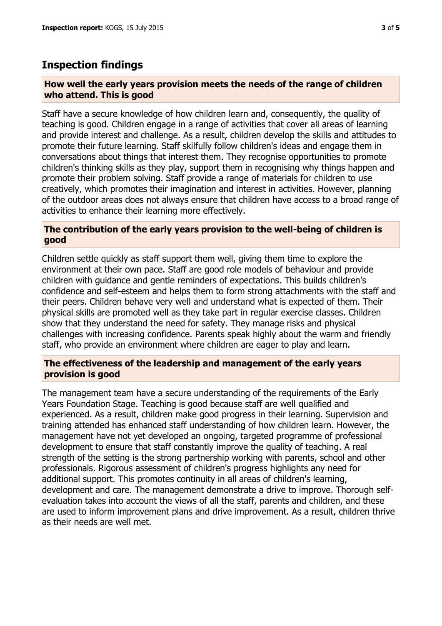## **Inspection findings**

#### **How well the early years provision meets the needs of the range of children who attend. This is good**

Staff have a secure knowledge of how children learn and, consequently, the quality of teaching is good. Children engage in a range of activities that cover all areas of learning and provide interest and challenge. As a result, children develop the skills and attitudes to promote their future learning. Staff skilfully follow children's ideas and engage them in conversations about things that interest them. They recognise opportunities to promote children's thinking skills as they play, support them in recognising why things happen and promote their problem solving. Staff provide a range of materials for children to use creatively, which promotes their imagination and interest in activities. However, planning of the outdoor areas does not always ensure that children have access to a broad range of activities to enhance their learning more effectively.

#### **The contribution of the early years provision to the well-being of children is good**

Children settle quickly as staff support them well, giving them time to explore the environment at their own pace. Staff are good role models of behaviour and provide children with guidance and gentle reminders of expectations. This builds children's confidence and self-esteem and helps them to form strong attachments with the staff and their peers. Children behave very well and understand what is expected of them. Their physical skills are promoted well as they take part in regular exercise classes. Children show that they understand the need for safety. They manage risks and physical challenges with increasing confidence. Parents speak highly about the warm and friendly staff, who provide an environment where children are eager to play and learn.

#### **The effectiveness of the leadership and management of the early years provision is good**

The management team have a secure understanding of the requirements of the Early Years Foundation Stage. Teaching is good because staff are well qualified and experienced. As a result, children make good progress in their learning. Supervision and training attended has enhanced staff understanding of how children learn. However, the management have not yet developed an ongoing, targeted programme of professional development to ensure that staff constantly improve the quality of teaching. A real strength of the setting is the strong partnership working with parents, school and other professionals. Rigorous assessment of children's progress highlights any need for additional support. This promotes continuity in all areas of children's learning, development and care. The management demonstrate a drive to improve. Thorough selfevaluation takes into account the views of all the staff, parents and children, and these are used to inform improvement plans and drive improvement. As a result, children thrive as their needs are well met.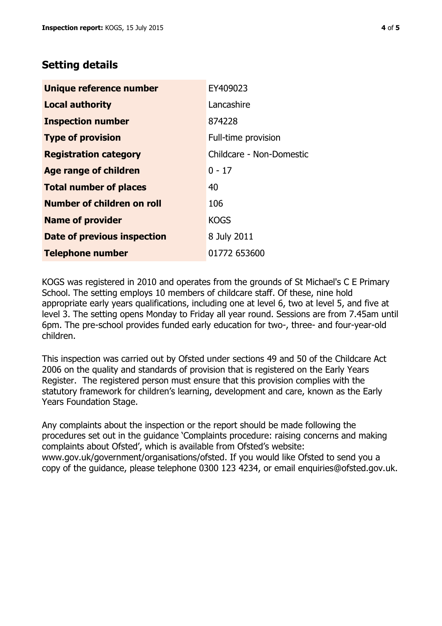## **Setting details**

| Unique reference number       | EY409023                 |  |
|-------------------------------|--------------------------|--|
| <b>Local authority</b>        | Lancashire               |  |
| <b>Inspection number</b>      | 874228                   |  |
| <b>Type of provision</b>      | Full-time provision      |  |
| <b>Registration category</b>  | Childcare - Non-Domestic |  |
| <b>Age range of children</b>  | $0 - 17$                 |  |
| <b>Total number of places</b> | 40                       |  |
| Number of children on roll    | 106                      |  |
| <b>Name of provider</b>       | <b>KOGS</b>              |  |
| Date of previous inspection   | 8 July 2011              |  |
| <b>Telephone number</b>       | 01772 653600             |  |

KOGS was registered in 2010 and operates from the grounds of St Michael's C E Primary School. The setting employs 10 members of childcare staff. Of these, nine hold appropriate early years qualifications, including one at level 6, two at level 5, and five at level 3. The setting opens Monday to Friday all year round. Sessions are from 7.45am until 6pm. The pre-school provides funded early education for two-, three- and four-year-old children.

This inspection was carried out by Ofsted under sections 49 and 50 of the Childcare Act 2006 on the quality and standards of provision that is registered on the Early Years Register. The registered person must ensure that this provision complies with the statutory framework for children's learning, development and care, known as the Early Years Foundation Stage.

Any complaints about the inspection or the report should be made following the procedures set out in the guidance 'Complaints procedure: raising concerns and making complaints about Ofsted', which is available from Ofsted's website: www.gov.uk/government/organisations/ofsted. If you would like Ofsted to send you a copy of the guidance, please telephone 0300 123 4234, or email enquiries@ofsted.gov.uk.